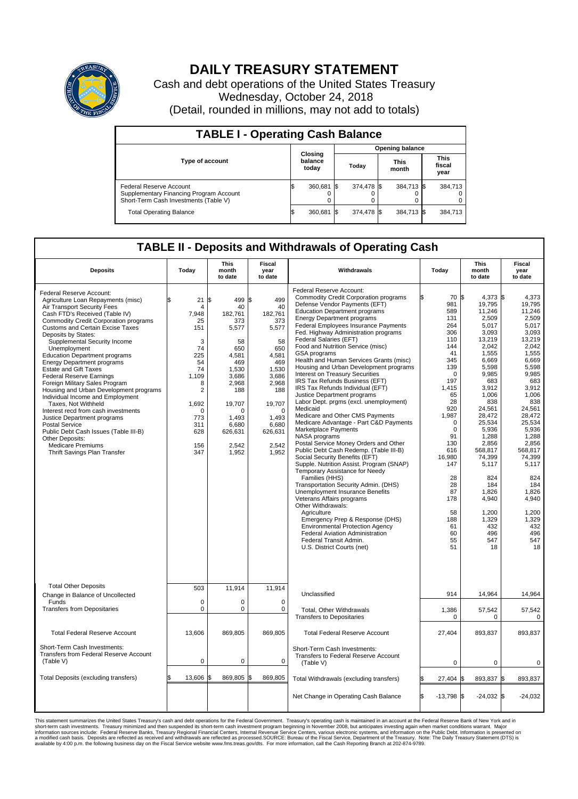

## **DAILY TREASURY STATEMENT**

Cash and debt operations of the United States Treasury Wednesday, October 24, 2018 (Detail, rounded in millions, may not add to totals)

| <b>TABLE I - Operating Cash Balance</b>                                                                     |  |                             |  |                        |  |                      |  |                               |  |  |  |
|-------------------------------------------------------------------------------------------------------------|--|-----------------------------|--|------------------------|--|----------------------|--|-------------------------------|--|--|--|
|                                                                                                             |  |                             |  | <b>Opening balance</b> |  |                      |  |                               |  |  |  |
| <b>Type of account</b>                                                                                      |  | Closing<br>balance<br>today |  | Today                  |  | <b>This</b><br>month |  | <b>This</b><br>fiscal<br>year |  |  |  |
| Federal Reserve Account<br>Supplementary Financing Program Account<br>Short-Term Cash Investments (Table V) |  | 360,681 \$                  |  | 374,478 \$             |  | 384,713 \$           |  | 384,713                       |  |  |  |
| <b>Total Operating Balance</b>                                                                              |  | 360,681 \$                  |  | 374,478 \$             |  | 384,713 \$           |  | 384,713                       |  |  |  |

## **TABLE II - Deposits and Withdrawals of Operating Cash**

| <b>Deposits</b>                                                                                                                                                                                                                                                                                                                                                                                                                                                                                                                                                                                                                                                                                                                                                                                                 | Today                                                                                                                                                        | <b>This</b><br>month<br>to date                                                                                                                                          | Fiscal<br>year<br>to date                                                                                                                                                          | Withdrawals                                                                                                                                                                                                                                                                                                                                                                                                                                                                                                                                                                                                                                                                                                                                                                                                                                                                                                                                                                                                                                                                                                                                                                                                                                                                                                            | Today                                                                                                                                                                                                                                                                  | <b>This</b><br>month<br>to date                                                                                                                                                                                                                                                                                    | <b>Fiscal</b><br>year<br>to date                                                                                                                                                                                                                                                                                |
|-----------------------------------------------------------------------------------------------------------------------------------------------------------------------------------------------------------------------------------------------------------------------------------------------------------------------------------------------------------------------------------------------------------------------------------------------------------------------------------------------------------------------------------------------------------------------------------------------------------------------------------------------------------------------------------------------------------------------------------------------------------------------------------------------------------------|--------------------------------------------------------------------------------------------------------------------------------------------------------------|--------------------------------------------------------------------------------------------------------------------------------------------------------------------------|------------------------------------------------------------------------------------------------------------------------------------------------------------------------------------|------------------------------------------------------------------------------------------------------------------------------------------------------------------------------------------------------------------------------------------------------------------------------------------------------------------------------------------------------------------------------------------------------------------------------------------------------------------------------------------------------------------------------------------------------------------------------------------------------------------------------------------------------------------------------------------------------------------------------------------------------------------------------------------------------------------------------------------------------------------------------------------------------------------------------------------------------------------------------------------------------------------------------------------------------------------------------------------------------------------------------------------------------------------------------------------------------------------------------------------------------------------------------------------------------------------------|------------------------------------------------------------------------------------------------------------------------------------------------------------------------------------------------------------------------------------------------------------------------|--------------------------------------------------------------------------------------------------------------------------------------------------------------------------------------------------------------------------------------------------------------------------------------------------------------------|-----------------------------------------------------------------------------------------------------------------------------------------------------------------------------------------------------------------------------------------------------------------------------------------------------------------|
| Federal Reserve Account:<br>Agriculture Loan Repayments (misc)<br>Air Transport Security Fees<br>Cash FTD's Received (Table IV)<br><b>Commodity Credit Corporation programs</b><br><b>Customs and Certain Excise Taxes</b><br>Deposits by States:<br>Supplemental Security Income<br>Unemployment<br><b>Education Department programs</b><br><b>Energy Department programs</b><br><b>Estate and Gift Taxes</b><br><b>Federal Reserve Earnings</b><br>Foreign Military Sales Program<br>Housing and Urban Development programs<br>Individual Income and Employment<br>Taxes. Not Withheld<br>Interest recd from cash investments<br>Justice Department programs<br><b>Postal Service</b><br>Public Debt Cash Issues (Table III-B)<br>Other Deposits:<br><b>Medicare Premiums</b><br>Thrift Savings Plan Transfer | 21<br>\$<br>$\overline{4}$<br>7,948<br>25<br>151<br>3<br>74<br>225<br>54<br>74<br>1.109<br>8<br>2<br>1,692<br>$\mathbf 0$<br>773<br>311<br>628<br>156<br>347 | l\$<br>499<br>40<br>182,761<br>373<br>5,577<br>58<br>650<br>4,581<br>469<br>1,530<br>3,686<br>2,968<br>188<br>19,707<br>0<br>1,493<br>6,680<br>626,631<br>2,542<br>1,952 | l\$<br>499<br>40<br>182,761<br>373<br>5,577<br>58<br>650<br>4.581<br>469<br>1,530<br>3,686<br>2,968<br>188<br>19,707<br>$\mathbf 0$<br>1,493<br>6,680<br>626,631<br>2,542<br>1,952 | Federal Reserve Account:<br><b>Commodity Credit Corporation programs</b><br>Defense Vendor Payments (EFT)<br><b>Education Department programs</b><br><b>Energy Department programs</b><br>Federal Employees Insurance Payments<br>Fed. Highway Administration programs<br>Federal Salaries (EFT)<br>Food and Nutrition Service (misc)<br><b>GSA</b> programs<br>Health and Human Services Grants (misc)<br>Housing and Urban Development programs<br><b>Interest on Treasury Securities</b><br>IRS Tax Refunds Business (EFT)<br>IRS Tax Refunds Individual (EFT)<br>Justice Department programs<br>Labor Dept. prgms (excl. unemployment)<br>Medicaid<br>Medicare and Other CMS Payments<br>Medicare Advantage - Part C&D Payments<br>Marketplace Payments<br>NASA programs<br>Postal Service Money Orders and Other<br>Public Debt Cash Redemp. (Table III-B)<br>Social Security Benefits (EFT)<br>Supple. Nutrition Assist. Program (SNAP)<br>Temporary Assistance for Needy<br>Families (HHS)<br>Transportation Security Admin. (DHS)<br>Unemployment Insurance Benefits<br>Veterans Affairs programs<br>Other Withdrawals:<br>Agriculture<br>Emergency Prep & Response (DHS)<br><b>Environmental Protection Agency</b><br>Federal Aviation Administration<br>Federal Transit Admin.<br>U.S. District Courts (net) | 70 \$<br>981<br>589<br>131<br>264<br>306<br>110<br>144<br>41<br>345<br>139<br>$\mathbf 0$<br>197<br>1,415<br>65<br>28<br>920<br>1,987<br>$\mathbf 0$<br>$\mathbf 0$<br>91<br>130<br>616<br>16,980<br>147<br>28<br>28<br>87<br>178<br>58<br>188<br>61<br>60<br>55<br>51 | 4,373 \$<br>19,795<br>11,246<br>2,509<br>5,017<br>3,093<br>13,219<br>2,042<br>1,555<br>6,669<br>5.598<br>9,985<br>683<br>3,912<br>1.006<br>838<br>24,561<br>28,472<br>25,534<br>5,936<br>1,288<br>2,856<br>568,817<br>74,399<br>5,117<br>824<br>184<br>1,826<br>4,940<br>1,200<br>1,329<br>432<br>496<br>547<br>18 | 4,373<br>19,795<br>11.246<br>2,509<br>5,017<br>3.093<br>13.219<br>2,042<br>1,555<br>6.669<br>5.598<br>9,985<br>683<br>3,912<br>1.006<br>838<br>24,561<br>28,472<br>25,534<br>5,936<br>1,288<br>2,856<br>568.817<br>74,399<br>5,117<br>824<br>184<br>1,826<br>4,940<br>1,200<br>1,329<br>432<br>496<br>547<br>18 |
| <b>Total Other Deposits</b><br>Change in Balance of Uncollected                                                                                                                                                                                                                                                                                                                                                                                                                                                                                                                                                                                                                                                                                                                                                 | 503                                                                                                                                                          | 11,914                                                                                                                                                                   | 11,914                                                                                                                                                                             | Unclassified                                                                                                                                                                                                                                                                                                                                                                                                                                                                                                                                                                                                                                                                                                                                                                                                                                                                                                                                                                                                                                                                                                                                                                                                                                                                                                           | 914                                                                                                                                                                                                                                                                    | 14,964                                                                                                                                                                                                                                                                                                             | 14,964                                                                                                                                                                                                                                                                                                          |
| Funds<br><b>Transfers from Depositaries</b>                                                                                                                                                                                                                                                                                                                                                                                                                                                                                                                                                                                                                                                                                                                                                                     | $\mathbf 0$<br>$\mathbf 0$                                                                                                                                   | 0<br>0                                                                                                                                                                   | $\mathbf 0$<br>$\mathbf 0$                                                                                                                                                         | <b>Total, Other Withdrawals</b><br><b>Transfers to Depositaries</b>                                                                                                                                                                                                                                                                                                                                                                                                                                                                                                                                                                                                                                                                                                                                                                                                                                                                                                                                                                                                                                                                                                                                                                                                                                                    | 1,386<br>$\mathbf 0$                                                                                                                                                                                                                                                   | 57,542<br>0                                                                                                                                                                                                                                                                                                        | 57,542<br>$\mathbf 0$                                                                                                                                                                                                                                                                                           |
| <b>Total Federal Reserve Account</b>                                                                                                                                                                                                                                                                                                                                                                                                                                                                                                                                                                                                                                                                                                                                                                            | 13,606                                                                                                                                                       | 869,805                                                                                                                                                                  | 869,805                                                                                                                                                                            | <b>Total Federal Reserve Account</b>                                                                                                                                                                                                                                                                                                                                                                                                                                                                                                                                                                                                                                                                                                                                                                                                                                                                                                                                                                                                                                                                                                                                                                                                                                                                                   | 27,404                                                                                                                                                                                                                                                                 | 893,837                                                                                                                                                                                                                                                                                                            | 893.837                                                                                                                                                                                                                                                                                                         |
| Short-Term Cash Investments:<br><b>Transfers from Federal Reserve Account</b><br>(Table V)                                                                                                                                                                                                                                                                                                                                                                                                                                                                                                                                                                                                                                                                                                                      | $\mathbf 0$                                                                                                                                                  | 0                                                                                                                                                                        | $\mathbf 0$                                                                                                                                                                        | Short-Term Cash Investments:<br>Transfers to Federal Reserve Account<br>(Table V)                                                                                                                                                                                                                                                                                                                                                                                                                                                                                                                                                                                                                                                                                                                                                                                                                                                                                                                                                                                                                                                                                                                                                                                                                                      | 0                                                                                                                                                                                                                                                                      | 0                                                                                                                                                                                                                                                                                                                  | 0                                                                                                                                                                                                                                                                                                               |
| Total Deposits (excluding transfers)                                                                                                                                                                                                                                                                                                                                                                                                                                                                                                                                                                                                                                                                                                                                                                            | 13.606                                                                                                                                                       | 869,805<br>\$                                                                                                                                                            | S.<br>869,805                                                                                                                                                                      | Total Withdrawals (excluding transfers)                                                                                                                                                                                                                                                                                                                                                                                                                                                                                                                                                                                                                                                                                                                                                                                                                                                                                                                                                                                                                                                                                                                                                                                                                                                                                | 27,404                                                                                                                                                                                                                                                                 | 893,837 \$<br>I\$                                                                                                                                                                                                                                                                                                  | 893,837                                                                                                                                                                                                                                                                                                         |
|                                                                                                                                                                                                                                                                                                                                                                                                                                                                                                                                                                                                                                                                                                                                                                                                                 |                                                                                                                                                              |                                                                                                                                                                          |                                                                                                                                                                                    | Net Change in Operating Cash Balance                                                                                                                                                                                                                                                                                                                                                                                                                                                                                                                                                                                                                                                                                                                                                                                                                                                                                                                                                                                                                                                                                                                                                                                                                                                                                   | l\$<br>$-13,798$ \$                                                                                                                                                                                                                                                    | $-24,032$ \$                                                                                                                                                                                                                                                                                                       | $-24,032$                                                                                                                                                                                                                                                                                                       |

This statement summarizes the United States Treasury's cash and debt operations for the Federal Government. Treasury operating in November 2008, but anticinates investing again when market conditions warrant. Major York an